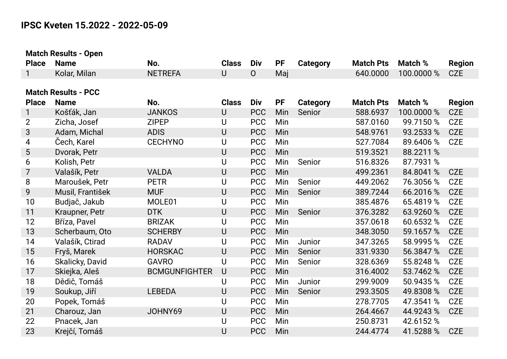## **IPSC Kveten 15.2022 - 2022-05-09**

| <b>Match Results - Open</b> |                            |                      |              |                |           |                 |                  |            |               |
|-----------------------------|----------------------------|----------------------|--------------|----------------|-----------|-----------------|------------------|------------|---------------|
| <b>Place</b>                | <b>Name</b>                | No.                  | <b>Class</b> | Div            | <b>PF</b> | <b>Category</b> | <b>Match Pts</b> | Match %    | <b>Region</b> |
| 1                           | Kolar, Milan               | <b>NETREFA</b>       | $\cup$       | $\overline{O}$ | Maj       |                 | 640.0000         | 100.0000 % | <b>CZE</b>    |
|                             |                            |                      |              |                |           |                 |                  |            |               |
|                             | <b>Match Results - PCC</b> |                      |              |                |           |                 |                  |            |               |
| <b>Place</b>                | <b>Name</b>                | No.                  | <b>Class</b> | Div            | <b>PF</b> | <b>Category</b> | <b>Match Pts</b> | Match %    | <b>Region</b> |
| $\mathbf{1}$                | Košťák, Jan                | <b>JANKOS</b>        | $\cup$       | <b>PCC</b>     | Min       | Senior          | 588.6937         | 100.0000 % | <b>CZE</b>    |
| $\overline{2}$              | Zicha, Josef               | <b>ZIPEP</b>         | U            | <b>PCC</b>     | Min       |                 | 587.0160         | 99.7150 %  | <b>CZE</b>    |
| 3                           | Adam, Michal               | <b>ADIS</b>          | $\bigcup$    | <b>PCC</b>     | Min       |                 | 548.9761         | 93.2533 %  | <b>CZE</b>    |
| 4                           | Čech, Karel                | <b>CECHYNO</b>       | U            | <b>PCC</b>     | Min       |                 | 527.7084         | 89.6406 %  | <b>CZE</b>    |
| 5                           | Dvorak, Petr               |                      | $\bigcup$    | <b>PCC</b>     | Min       |                 | 519.3521         | 88.2211 %  |               |
| 6                           | Kolish, Petr               |                      | U            | <b>PCC</b>     | Min       | Senior          | 516.8326         | 87.7931 %  |               |
| 7                           | Valašík, Petr              | <b>VALDA</b>         | $\cup$       | <b>PCC</b>     | Min       |                 | 499.2361         | 84.8041 %  | <b>CZE</b>    |
| 8                           | Maroušek, Petr             | <b>PETR</b>          | $\cup$       | <b>PCC</b>     | Min       | Senior          | 449.2062         | 76.3056 %  | <b>CZE</b>    |
| 9                           | Musil, František           | <b>MUF</b>           | $\bigcup$    | <b>PCC</b>     | Min       | Senior          | 389.7244         | 66.2016 %  | <b>CZE</b>    |
| 10                          | Budjač, Jakub              | MOLE01               | $\cup$       | <b>PCC</b>     | Min       |                 | 385.4876         | 65.4819 %  | <b>CZE</b>    |
| 11                          | Kraupner, Petr             | <b>DTK</b>           | $\bigcup$    | <b>PCC</b>     | Min       | Senior          | 376.3282         | 63.9260 %  | <b>CZE</b>    |
| 12                          | Bříza, Pavel               | <b>BRIZAK</b>        | U            | <b>PCC</b>     | Min       |                 | 357.0618         | 60.6532 %  | <b>CZE</b>    |
| 13                          | Scherbaum, Oto             | <b>SCHERBY</b>       | $\cup$       | <b>PCC</b>     | Min       |                 | 348.3050         | 59.1657 %  | <b>CZE</b>    |
| 14                          | Valašík, Ctirad            | <b>RADAV</b>         | $\cup$       | <b>PCC</b>     | Min       | Junior          | 347.3265         | 58.9995 %  | <b>CZE</b>    |
| 15                          | Fryš, Marek                | <b>HORSKAC</b>       | $\cup$       | <b>PCC</b>     | Min       | Senior          | 331.9330         | 56.3847 %  | <b>CZE</b>    |
| 16                          | Skalicky, David            | <b>GAVRO</b>         | U            | <b>PCC</b>     | Min       | Senior          | 328.6369         | 55.8248 %  | <b>CZE</b>    |
| 17                          | Skiejka, Aleš              | <b>BCMGUNFIGHTER</b> | $\bigcup$    | <b>PCC</b>     | Min       |                 | 316.4002         | 53.7462 %  | <b>CZE</b>    |
| 18                          | Dědič, Tomáš               |                      | U            | <b>PCC</b>     | Min       | Junior          | 299.9009         | 50.9435 %  | <b>CZE</b>    |
| 19                          | Soukup, Jiří               | <b>LEBEDA</b>        | $\cup$       | <b>PCC</b>     | Min       | Senior          | 293.3505         | 49.8308 %  | <b>CZE</b>    |
| 20                          | Popek, Tomáš               |                      | $\cup$       | <b>PCC</b>     | Min       |                 | 278.7705         | 47.3541 %  | <b>CZE</b>    |
| 21                          | Charouz, Jan               | JOHNY69              | $\bigcup$    | <b>PCC</b>     | Min       |                 | 264.4667         | 44.9243 %  | <b>CZE</b>    |
| 22                          | Pnacek, Jan                |                      | U            | <b>PCC</b>     | Min       |                 | 250.8731         | 42.6152 %  |               |
| 23                          | Krejčí, Tomáš              |                      | U            | <b>PCC</b>     | Min       |                 | 244.4774         | 41.5288 %  | <b>CZE</b>    |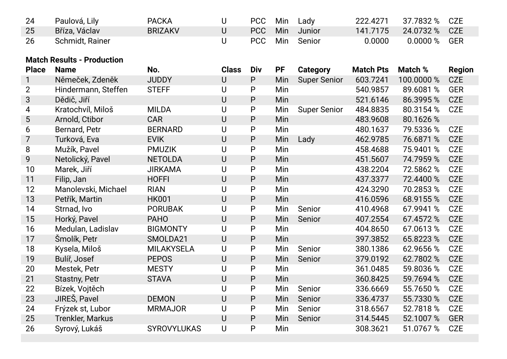| 24 | Paulová, Lily   | <b>PACKA</b>   | PCC   | Min | Lady       | 222.4271 | 37.7832 % CZE  |  |
|----|-----------------|----------------|-------|-----|------------|----------|----------------|--|
| 25 | Bříza, Václav   | <b>BRIZAKV</b> | PCC \ |     | Min Junior | 141.7175 | 24.0732 % CZE  |  |
| 26 | Schmidt, Rainer |                | PCC   |     | Min Senior | 0.0000   | $0.0000\%$ GER |  |

## **Match Results - Production**

| <b>Place</b>   | <b>Name</b>             | No.                | <b>Class</b> | Div          | <b>PF</b> | <b>Category</b>     | <b>Match Pts</b> | Match %    | <b>Region</b> |
|----------------|-------------------------|--------------------|--------------|--------------|-----------|---------------------|------------------|------------|---------------|
| 1              | Němeček, Zdeněk         | <b>JUDDY</b>       | $\cup$       | $\mathsf{P}$ | Min       | <b>Super Senior</b> | 603.7241         | 100.0000 % | <b>CZE</b>    |
| $\overline{2}$ | Hindermann, Steffen     | <b>STEFF</b>       | U            | P            | Min       |                     | 540.9857         | 89.6081 %  | <b>GER</b>    |
| 3              | Dědič, Jiří             |                    | $\cup$       | P            | Min       |                     | 521.6146         | 86.3995 %  | <b>CZE</b>    |
| 4              | Kratochvíl, Miloš       | <b>MILDA</b>       | U            | P            | Min       | <b>Super Senior</b> | 484.8835         | 80.3154 %  | <b>CZE</b>    |
| 5              | Arnold, Ctibor          | <b>CAR</b>         | U            | $\mathsf{P}$ | Min       |                     | 483.9608         | 80.1626 %  |               |
| 6              | Bernard, Petr           | <b>BERNARD</b>     | U            | P            | Min       |                     | 480.1637         | 79.5336 %  | <b>CZE</b>    |
| $\overline{7}$ | Turková, Eva            | <b>EVIK</b>        | U            | $\mathsf{P}$ | Min       | Lady                | 462.9785         | 76.6871 %  | <b>CZE</b>    |
| 8              | Mužík, Pavel            | <b>PMUZIK</b>      | U            | P            | Min       |                     | 458.4688         | 75.9401 %  | <b>CZE</b>    |
| 9              | Netolický, Pavel        | <b>NETOLDA</b>     | U            | P            | Min       |                     | 451.5607         | 74.7959 %  | <b>CZE</b>    |
| 10             | Marek, Jiří             | <b>JIRKAMA</b>     | U            | P            | Min       |                     | 438.2204         | 72.5862 %  | <b>CZE</b>    |
| 11             | Filip, Jan              | <b>HOFFI</b>       | $\cup$       | $\mathsf{P}$ | Min       |                     | 437.3377         | 72.4400 %  | <b>CZE</b>    |
| 12             | Manolevski, Michael     | <b>RIAN</b>        | U            | P            | Min       |                     | 424.3290         | 70.2853 %  | <b>CZE</b>    |
| 13             | Petřík, Martin          | <b>HK001</b>       | U            | P            | Min       |                     | 416.0596         | 68.9155 %  | <b>CZE</b>    |
| 14             | Strnad, Ivo             | <b>PORUBAK</b>     | U            | P            | Min       | Senior              | 410.4968         | 67.9941 %  | <b>CZE</b>    |
| 15             | Horký, Pavel            | <b>PAHO</b>        | U            | $\mathsf{P}$ | Min       | Senior              | 407.2554         | 67.4572 %  | <b>CZE</b>    |
| 16             | Medulan, Ladislav       | <b>BIGMONTY</b>    | U            | P            | Min       |                     | 404.8650         | 67.0613 %  | <b>CZE</b>    |
| 17             | Šmolík, Petr            | SMOLDA21           | U            | P            | Min       |                     | 397.3852         | 65.8223 %  | <b>CZE</b>    |
| 18             | Kysela, Miloš           | <b>MILAKYSELA</b>  | U            | P            | Min       | Senior              | 380.1386         | 62.9656 %  | <b>CZE</b>    |
| 19             | Bulíř, Josef            | <b>PEPOS</b>       | $\cup$       | $\mathsf{P}$ | Min       | Senior              | 379.0192         | 62.7802 %  | <b>CZE</b>    |
| 20             | Mestek, Petr            | <b>MESTY</b>       | U            | P            | Min       |                     | 361.0485         | 59.8036 %  | <b>CZE</b>    |
| 21             | Stastny, Petr           | <b>STAVA</b>       | $\cup$       | P            | Min       |                     | 360.8425         | 59.7694 %  | <b>CZE</b>    |
| 22             | Bízek, Vojtěch          |                    | U            | P            | Min       | Senior              | 336.6669         | 55.7650 %  | <b>CZE</b>    |
| 23             | JIREŠ, Pavel            | <b>DEMON</b>       | U            | P            | Min       | Senior              | 336.4737         | 55.7330 %  | <b>CZE</b>    |
| 24             | Frýzek st, Lubor        | <b>MRMAJOR</b>     | U            | $\mathsf{P}$ | Min       | Senior              | 318.6567         | 52.7818 %  | <b>CZE</b>    |
| 25             | <b>Trenkler, Markus</b> |                    | U            | $\mathsf{P}$ | Min       | Senior              | 314.5445         | 52.1007 %  | <b>GER</b>    |
| 26             | Syrový, Lukáš           | <b>SYROVYLUKAS</b> | U            | P            | Min       |                     | 308.3621         | 51.0767 %  | <b>CZE</b>    |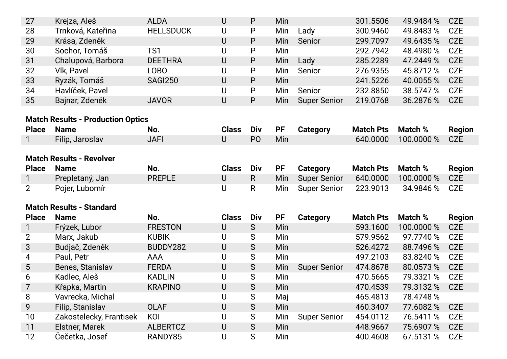| 27                              | Krejza, Aleš                             | <b>ALDA</b>      | $\cup$       | P              | Min       |                     | 301.5506         | 49.9484 %  | <b>CZE</b>    |
|---------------------------------|------------------------------------------|------------------|--------------|----------------|-----------|---------------------|------------------|------------|---------------|
| 28                              | Trnková, Kateřina                        | <b>HELLSDUCK</b> | U            | P              | Min       | Lady                | 300.9460         | 49.8483 %  | <b>CZE</b>    |
| 29                              | Krása, Zdeněk                            |                  | $\cup$       | P              | Min       | Senior              | 299.7097         | 49.6435 %  | <b>CZE</b>    |
| 30                              | Sochor, Tomáš                            | TS1              | U            | P              | Min       |                     | 292.7942         | 48.4980 %  | <b>CZE</b>    |
| 31                              | Chalupová, Barbora                       | <b>DEETHRA</b>   | $\cup$       | P              | Min       | Lady                | 285.2289         | 47.2449 %  | <b>CZE</b>    |
| 32                              | Vlk, Pavel                               | <b>LOBO</b>      | U            | P              | Min       | Senior              | 276.9355         | 45.8712 %  | <b>CZE</b>    |
| 33                              | Ryzák, Tomáš                             | <b>SAGI250</b>   | U            | P              | Min       |                     | 241.5226         | 40.0055 %  | <b>CZE</b>    |
| 34                              | Havlíček, Pavel                          |                  | U            | P              | Min       | Senior              | 232.8850         | 38.5747 %  | <b>CZE</b>    |
| 35                              | Bajnar, Zdeněk                           | <b>JAVOR</b>     | $\cup$       | P              | Min       | <b>Super Senior</b> | 219.0768         | 36.2876 %  | <b>CZE</b>    |
|                                 |                                          |                  |              |                |           |                     |                  |            |               |
|                                 | <b>Match Results - Production Optics</b> |                  |              |                |           |                     |                  |            |               |
| <b>Place</b>                    | <b>Name</b>                              | No.              | <b>Class</b> | Div            | <b>PF</b> | <b>Category</b>     | <b>Match Pts</b> | Match %    | <b>Region</b> |
| 1                               | Filip, Jaroslav                          | <b>JAFI</b>      | $\cup$       | P <sub>O</sub> | Min       |                     | 640.0000         | 100.0000 % | <b>CZE</b>    |
| <b>Match Results - Revolver</b> |                                          |                  |              |                |           |                     |                  |            |               |
| <b>Place</b>                    | <b>Name</b>                              | No.              | <b>Class</b> | Div            | PF        | <b>Category</b>     | <b>Match Pts</b> | Match %    | <b>Region</b> |
|                                 | Prepletaný, Jan                          | <b>PREPLE</b>    | $\cup$       | $\mathsf{R}$   | Min       | <b>Super Senior</b> | 640.0000         | 100.0000 % | <b>CZE</b>    |
| $\overline{2}$                  | Pojer, Lubomír                           |                  | U            | R              | Min       | <b>Super Senior</b> | 223.9013         | 34.9846 %  | <b>CZE</b>    |
|                                 |                                          |                  |              |                |           |                     |                  |            |               |
|                                 | <b>Match Results - Standard</b>          |                  |              |                |           |                     |                  |            |               |
| <b>Place</b>                    | <b>Name</b>                              | No.              | <b>Class</b> | Div            | <b>PF</b> | <b>Category</b>     | <b>Match Pts</b> | Match %    | <b>Region</b> |
| $\mathbf 1$                     | Frýzek, Lubor                            | <b>FRESTON</b>   | U            | S              | Min       |                     | 593.1600         | 100.0000 % | <b>CZE</b>    |
| $\overline{2}$                  | Marx, Jakub                              | <b>KUBIK</b>     | U            | S              | Min       |                     | 579.9562         | 97.7740 %  | <b>CZE</b>    |
| 3                               | Budjač, Zdeněk                           | BUDDY282         | U            | S              | Min       |                     | 526.4272         | 88.7496 %  | <b>CZE</b>    |
| 4                               | Paul, Petr                               | <b>AAA</b>       | U            | S              | Min       |                     | 497.2103         | 83.8240 %  | <b>CZE</b>    |
| 5                               | Benes, Stanislav                         | <b>FERDA</b>     | $\cup$       | S              | Min       | <b>Super Senior</b> | 474.8678         | 80.0573 %  | <b>CZE</b>    |
| 6                               | Kadlec, Aleš                             | <b>KADLIN</b>    | U            | S              | Min       |                     | 470.5665         | 79.3321 %  | <b>CZE</b>    |
| 7                               | Křapka, Martin                           | <b>KRAPINO</b>   | $\bigcup$    | S              | Min       |                     | 470.4539         | 79.3132 %  | <b>CZE</b>    |
| 8                               | Vavrecka, Michal                         |                  | U            | S              | Maj       |                     | 465.4813         | 78.4748 %  |               |
| 9                               | Filip, Stanislav                         | <b>OLAF</b>      | U            | S              | Min       |                     | 460.3407         | 77.6082 %  | <b>CZE</b>    |
| 10                              | Zakostelecky, Frantisek                  | KOI              | U            | S              | Min       | <b>Super Senior</b> | 454.0112         | 76.5411 %  | <b>CZE</b>    |
| 11                              | Elstner, Marek                           | <b>ALBERTCZ</b>  | U            | S              | Min       |                     | 448.9667         | 75.6907 %  | <b>CZE</b>    |
| 12                              | Čečetka, Josef                           | RANDY85          | U            | S              | Min       |                     | 400.4608         | 67.5131 %  | <b>CZE</b>    |